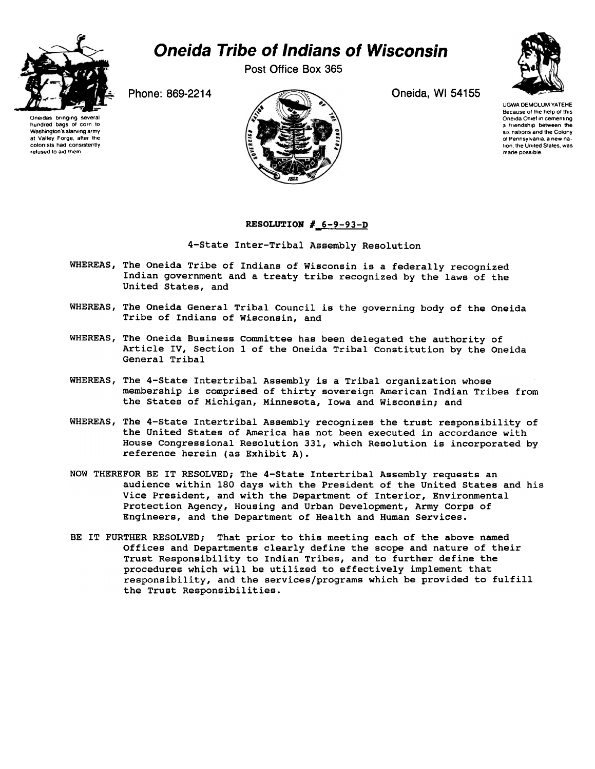

## Oneida Tribe of Indians of Wisconsin

Post Office Box 365

Phone: 869-2214 Oneida, WI 54155



UGWA DEMOLUM YATEHE Because 01 Ihe help 01 this Oneida Chief in cementing a friendship between the six nations and the Colony of Pennsylvania. a new nation, the United States, was

made possible



## RESOLUTION #\_6-9-93-D

4-State Inter-Tribal Assembly Resolution

- WHEREAS, The Oneida Tribe of Indians of Wisconsin is a federally recognized Indian government and a treaty tribe recognized by the laws of the United States, and
- WHEREAS, The Oneida General Tribal Council is the governing body of the Oneida Tribe of Indians of Wisconsin, and
- WHEREAS, The Oneida Business Committee has been delegated the authority of Article IV, Section 1 of the Oneida Tribal Constitution by the Oneida General Tribal
- WHEREAS, The 4-State Intertribal Assembly is a Tribal organization whose membership is comprised of thirty sovereign American Indian Tribes from the States of Michigan, Minnesota, Iowa and Wisconsin; and
- WHEREAS, The 4-State Intertribal Assembly recognizes the trust responsibility of the United States of America has not been executed in accordance with House Congressional Resolution 331, which Resolution is incorporated by reference herein (as Exhibit A).
- NOW THEREFOR BE IT RESOLVED; The 4-State Intertribal Assembly requests an audience within 180 days with the President of the United States and his Vice President, and with the Department of Interior, Environmental Protection Agency, Housing and Urban Development, Army Corps of Engineers, and the Department of Health and Human Services.
- BE IT FURTHER RESOLVED; That prior to this meeting each of the above named Offices and Departments clearly define the scope and nature of their Trust Responsibility to Indian Tribes, and to further define the procedures which will be utilized to effectively implement that responsibility, and the services/programs which be provided to fulfill the Trust Responsibilities.